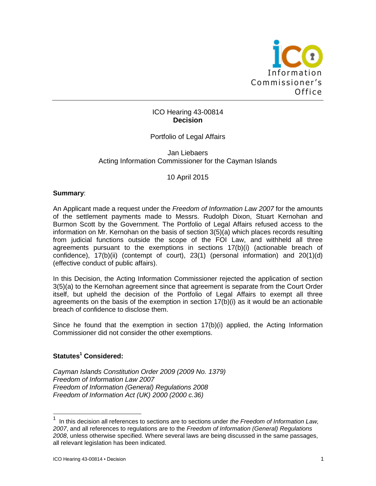

# ICO Hearing 43-00814 **Decision**

# Portfolio of Legal Affairs

### Jan Liebaers Acting Information Commissioner for the Cayman Islands

### 10 April 2015

#### **Summary**:

An Applicant made a request under the *Freedom of Information Law 2007* for the amounts of the settlement payments made to Messrs. Rudolph Dixon, Stuart Kernohan and Burmon Scott by the Government. The Portfolio of Legal Affairs refused access to the information on Mr. Kernohan on the basis of section 3(5)(a) which places records resulting from judicial functions outside the scope of the FOI Law, and withheld all three agreements pursuant to the exemptions in sections 17(b)(i) (actionable breach of confidence), 17(b)(ii) (contempt of court), 23(1) (personal information) and 20(1)(d) (effective conduct of public affairs).

In this Decision, the Acting Information Commissioner rejected the application of section 3(5)(a) to the Kernohan agreement since that agreement is separate from the Court Order itself, but upheld the decision of the Portfolio of Legal Affairs to exempt all three agreements on the basis of the exemption in section 17(b)(i) as it would be an actionable breach of confidence to disclose them.

Since he found that the exemption in section  $17(b)(i)$  applied, the Acting Information Commissioner did not consider the other exemptions.

## **Statutes<sup>1</sup> Considered:**

*Cayman Islands Constitution Order 2009 (2009 No. 1379) Freedom of Information Law 2007 Freedom of Information (General) Regulations 2008 Freedom of Information Act (UK) 2000 (2000 c.36)*

<sup>1</sup> In this decision all references to sections are to sections under *the Freedom of Information Law, 2007*, and all references to regulations are to the *Freedom of Information (General) Regulations 2008*, unless otherwise specified. Where several laws are being discussed in the same passages, all relevant legislation has been indicated.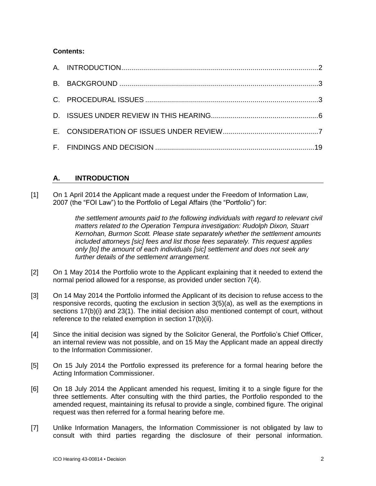# **Contents:**

# **A. INTRODUCTION**

[1] On 1 April 2014 the Applicant made a request under the Freedom of Information Law, 2007 (the "FOI Law") to the Portfolio of Legal Affairs (the "Portfolio") for:

> *the settlement amounts paid to the following individuals with regard to relevant civil matters related to the Operation Tempura investigation: Rudolph Dixon, Stuart Kernohan, Burmon Scott. Please state separately whether the settlement amounts included attorneys [sic] fees and list those fees separately. This request applies only [to] the amount of each individuals [sic] settlement and does not seek any further details of the settlement arrangement.*

- [2] On 1 May 2014 the Portfolio wrote to the Applicant explaining that it needed to extend the normal period allowed for a response, as provided under section 7(4).
- [3] On 14 May 2014 the Portfolio informed the Applicant of its decision to refuse access to the responsive records, quoting the exclusion in section 3(5)(a), as well as the exemptions in sections 17(b)(i) and 23(1). The initial decision also mentioned contempt of court, without reference to the related exemption in section 17(b)(ii).
- [4] Since the initial decision was signed by the Solicitor General, the Portfolio's Chief Officer, an internal review was not possible, and on 15 May the Applicant made an appeal directly to the Information Commissioner.
- [5] On 15 July 2014 the Portfolio expressed its preference for a formal hearing before the Acting Information Commissioner.
- [6] On 18 July 2014 the Applicant amended his request, limiting it to a single figure for the three settlements. After consulting with the third parties, the Portfolio responded to the amended request, maintaining its refusal to provide a single, combined figure. The original request was then referred for a formal hearing before me.
- [7] Unlike Information Managers, the Information Commissioner is not obligated by law to consult with third parties regarding the disclosure of their personal information.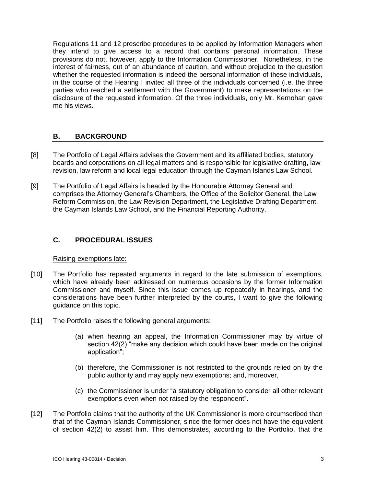Regulations 11 and 12 prescribe procedures to be applied by Information Managers when they intend to give access to a record that contains personal information. These provisions do not, however, apply to the Information Commissioner. Nonetheless, in the interest of fairness, out of an abundance of caution, and without prejudice to the question whether the requested information is indeed the personal information of these individuals, in the course of the Hearing I invited all three of the individuals concerned (i.e. the three parties who reached a settlement with the Government) to make representations on the disclosure of the requested information. Of the three individuals, only Mr. Kernohan gave me his views.

# **B. BACKGROUND**

- [8] The Portfolio of Legal Affairs advises the Government and its affiliated bodies, statutory boards and corporations on all legal matters and is responsible for legislative drafting, law revision, law reform and local legal education through the Cayman Islands Law School.
- [9] The Portfolio of Legal Affairs is headed by the Honourable Attorney General and comprises the Attorney General's Chambers, the Office of the Solicitor General, the Law Reform Commission, the Law Revision Department, the Legislative Drafting Department, the Cayman Islands Law School, and the Financial Reporting Authority.

# **C. PROCEDURAL ISSUES**

#### Raising exemptions late:

- [10] The Portfolio has repeated arguments in regard to the late submission of exemptions, which have already been addressed on numerous occasions by the former Information Commissioner and myself. Since this issue comes up repeatedly in hearings, and the considerations have been further interpreted by the courts, I want to give the following guidance on this topic.
- [11] The Portfolio raises the following general arguments:
	- (a) when hearing an appeal, the Information Commissioner may by virtue of section 42(2) "make any decision which could have been made on the original application";
	- (b) therefore, the Commissioner is not restricted to the grounds relied on by the public authority and may apply new exemptions; and, moreover,
	- (c) the Commissioner is under "a statutory obligation to consider all other relevant exemptions even when not raised by the respondent".
- [12] The Portfolio claims that the authority of the UK Commissioner is more circumscribed than that of the Cayman Islands Commissioner, since the former does not have the equivalent of section 42(2) to assist him. This demonstrates, according to the Portfolio, that the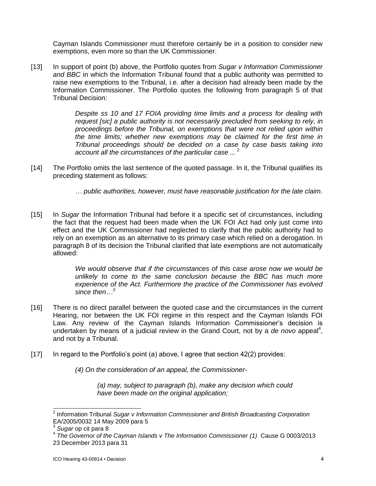Cayman Islands Commissioner must therefore certainly be in a position to consider new exemptions, even more so than the UK Commissioner.

[13] In support of point (b) above, the Portfolio quotes from *Sugar v Information Commissioner and BBC* in which the Information Tribunal found that a public authority was permitted to raise new exemptions to the Tribunal, i.e. after a decision had already been made by the Information Commissioner. The Portfolio quotes the following from paragraph 5 of that Tribunal Decision:

> *Despite ss 10 and 17 FOIA providing time limits and a process for dealing with request [sic] a public authority is not necessarily precluded from seeking to rely, in proceedings before the Tribunal, on exemptions that were not relied upon within the time limits; whether new exemptions may be claimed for the first time in Tribunal proceedings should be decided on a case by case basis taking into account all the circumstances of the particular case ...* <sup>2</sup>

- [14] The Portfolio omits the last sentence of the quoted passage. In it, the Tribunal qualifies its preceding statement as follows:
	- *… public authorities, however, must have reasonable justification for the late claim.*
- [15] In *Sugar* the Information Tribunal had before it a specific set of circumstances, including the fact that the request had been made when the UK FOI Act had only just come into effect and the UK Commissioner had neglected to clarify that the public authority had to rely on an exemption as an alternative to its primary case which relied on a derogation. In paragraph 8 of its decision the Tribunal clarified that late exemptions are not automatically allowed:

*We would observe that if the circumstances of this case arose now we would be unlikely to come to the same conclusion because the BBC has much more experience of the Act. Furthermore the practice of the Commissioner has evolved since then…<sup>3</sup>*

- [16] There is no direct parallel between the quoted case and the circumstances in the current Hearing, nor between the UK FOI regime in this respect and the Cayman Islands FOI Law. Any review of the Cayman Islands Information Commissioner's decision is undertaken by means of a judicial review in the Grand Court, not by a de novo appeal<sup>4</sup>, and not by a Tribunal.
- [17] In regard to the Portfolio's point (a) above, I agree that section 42(2) provides:
	- *(4) On the consideration of an appeal, the Commissioner-*

*(a) may, subject to paragraph (b), make any decision which could have been made on the original application;*

 $\overline{\phantom{a}}$ 2 Information Tribunal *Sugar v Information Commissioner and British Broadcasting Corporation* EA/2005/0032 14 May 2009 para 5

*Sugar* op cit para 8

<sup>4</sup> *The Governor of the Cayman Islands v The Information Commissioner (1)* Cause G 0003/2013 23 December 2013 para 31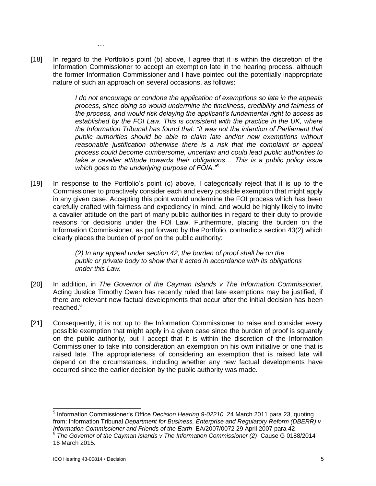[18] In regard to the Portfolio's point (b) above, I agree that it is within the discretion of the Information Commissioner to accept an exemption late in the hearing process, although the former Information Commissioner and I have pointed out the potentially inappropriate nature of such an approach on several occasions, as follows:

*…*

*I do not encourage or condone the application of exemptions so late in the appeals process, since doing so would undermine the timeliness, credibility and fairness of the process, and would risk delaying the applicant's fundamental right to access as established by the FOI Law. This is consistent with the practice in the UK, where the Information Tribunal has found that: "it was not the intention of Parliament that public authorities should be able to claim late and/or new exemptions without reasonable justification otherwise there is a risk that the complaint or appeal process could become cumbersome, uncertain and could lead public authorities to take a cavalier attitude towards their obligations… This is a public policy issue which goes to the underlying purpose of FOIA."<sup>5</sup>*

[19] In response to the Portfolio's point (c) above, I categorically reject that it is up to the Commissioner to proactively consider each and every possible exemption that might apply in any given case. Accepting this point would undermine the FOI process which has been carefully crafted with fairness and expediency in mind, and would be highly likely to invite a cavalier attitude on the part of many public authorities in regard to their duty to provide reasons for decisions under the FOI Law. Furthermore, placing the burden on the Information Commissioner, as put forward by the Portfolio, contradicts section 43(2) which clearly places the burden of proof on the public authority:

> *(2) In any appeal under section 42, the burden of proof shall be on the public or private body to show that it acted in accordance with its obligations under this Law.*

- [20] In addition, in *The Governor of the Cayman Islands v The Information Commissioner*, Acting Justice Timothy Owen has recently ruled that late exemptions may be justified, if there are relevant new factual developments that occur after the initial decision has been reached.<sup>6</sup>
- [21] Consequently, it is not up to the Information Commissioner to raise and consider every possible exemption that might apply in a given case since the burden of proof is squarely on the public authority, but I accept that it is within the discretion of the Information Commissioner to take into consideration an exemption on his own initiative or one that is raised late. The appropriateness of considering an exemption that is raised late will depend on the circumstances, including whether any new factual developments have occurred since the earlier decision by the public authority was made.

l 5 Information Commissioner's Office *Decision Hearing 9-02210* 24 March 2011 para 23, quoting from: Information Tribunal *Department for Business, Enterprise and Regulatory Reform (DBERR) v Information Commissioner and Friends of the Earth* EA/2007/0072 29 April 2007 para 42 6 *The Governor of the Cayman Islands v The Information Commissioner (2)* Cause G 0188/2014

<sup>16</sup> March 2015.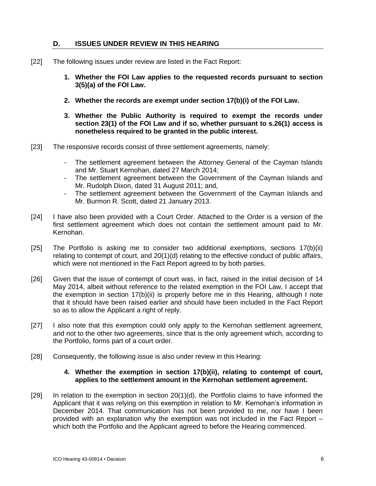# **D. ISSUES UNDER REVIEW IN THIS HEARING**

- [22] The following issues under review are listed in the Fact Report:
	- **1. Whether the FOI Law applies to the requested records pursuant to section 3(5)(a) of the FOI Law.**
	- **2. Whether the records are exempt under section 17(b)(i) of the FOI Law.**
	- **3. Whether the Public Authority is required to exempt the records under section 23(1) of the FOI Law and if so, whether pursuant to s.26(1) access is nonetheless required to be granted in the public interest.**
- [23] The responsive records consist of three settlement agreements, namely:
	- The settlement agreement between the Attorney General of the Cayman Islands and Mr. Stuart Kernohan, dated 27 March 2014;
	- The settlement agreement between the Government of the Cayman Islands and Mr. Rudolph Dixon, dated 31 August 2011; and,
	- The settlement agreement between the Government of the Cayman Islands and Mr. Burmon R. Scott, dated 21 January 2013.
- [24] I have also been provided with a Court Order. Attached to the Order is a version of the first settlement agreement which does not contain the settlement amount paid to Mr. Kernohan.
- [25] The Portfolio is asking me to consider two additional exemptions, sections 17(b)(ii) relating to contempt of court, and 20(1)(d) relating to the effective conduct of public affairs, which were not mentioned in the Fact Report agreed to by both parties.
- [26] Given that the issue of contempt of court was, in fact, raised in the initial decision of 14 May 2014, albeit without reference to the related exemption in the FOI Law, I accept that the exemption in section 17(b)(ii) is properly before me in this Hearing, although I note that it should have been raised earlier and should have been included in the Fact Report so as to allow the Applicant a right of reply.
- [27] I also note that this exemption could only apply to the Kernohan settlement agreement, and not to the other two agreements, since that is the only agreement which, according to the Portfolio, forms part of a court order.
- [28] Consequently, the following issue is also under review in this Hearing:

### **4. Whether the exemption in section 17(b)(ii), relating to contempt of court, applies to the settlement amount in the Kernohan settlement agreement.**

[29] In relation to the exemption in section 20(1)(d), the Portfolio claims to have informed the Applicant that it was relying on this exemption in relation to Mr. Kernohan's information in December 2014. That communication has not been provided to me, nor have I been provided with an explanation why the exemption was not included in the Fact Report – which both the Portfolio and the Applicant agreed to before the Hearing commenced.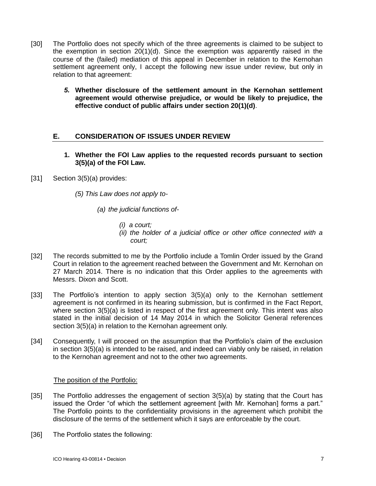- [30] The Portfolio does not specify which of the three agreements is claimed to be subject to the exemption in section 20(1)(d). Since the exemption was apparently raised in the course of the (failed) mediation of this appeal in December in relation to the Kernohan settlement agreement only, I accept the following new issue under review, but only in relation to that agreement:
	- *5.* **Whether disclosure of the settlement amount in the Kernohan settlement agreement would otherwise prejudice, or would be likely to prejudice, the effective conduct of public affairs under section 20(1)(d)**.

# **E. CONSIDERATION OF ISSUES UNDER REVIEW**

- **1. Whether the FOI Law applies to the requested records pursuant to section 3(5)(a) of the FOI Law.**
- [31] Section 3(5)(a) provides:
	- *(5) This Law does not apply to-*
		- *(a) the judicial functions of-*
			- *(i) a court;*
			- *(ii) the holder of a judicial office or other office connected with a court;*
- [32] The records submitted to me by the Portfolio include a Tomlin Order issued by the Grand Court in relation to the agreement reached between the Government and Mr. Kernohan on 27 March 2014. There is no indication that this Order applies to the agreements with Messrs. Dixon and Scott.
- [33] The Portfolio's intention to apply section 3(5)(a) only to the Kernohan settlement agreement is not confirmed in its hearing submission, but is confirmed in the Fact Report, where section 3(5)(a) is listed in respect of the first agreement only. This intent was also stated in the initial decision of 14 May 2014 in which the Solicitor General references section 3(5)(a) in relation to the Kernohan agreement only.
- [34] Consequently, I will proceed on the assumption that the Portfolio's claim of the exclusion in section 3(5)(a) is intended to be raised, and indeed can viably only be raised, in relation to the Kernohan agreement and not to the other two agreements.

## The position of the Portfolio:

- [35] The Portfolio addresses the engagement of section 3(5)(a) by stating that the Court has issued the Order "of which the settlement agreement [with Mr. Kernohan] forms a part." The Portfolio points to the confidentiality provisions in the agreement which prohibit the disclosure of the terms of the settlement which it says are enforceable by the court.
- [36] The Portfolio states the following: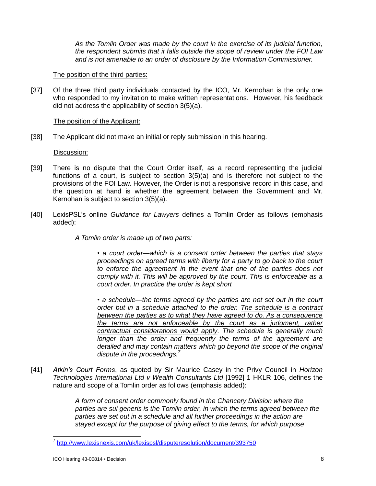*As the Tomlin Order was made by the court in the exercise of its judicial function, the respondent submits that it falls outside the scope of review under the FOI Law and is not amenable to an order of disclosure by the Information Commissioner.*

### The position of the third parties:

[37] Of the three third party individuals contacted by the ICO, Mr. Kernohan is the only one who responded to my invitation to make written representations. However, his feedback did not address the applicability of section 3(5)(a).

#### The position of the Applicant:

[38] The Applicant did not make an initial or reply submission in this hearing.

### Discussion:

- [39] There is no dispute that the Court Order itself, as a record representing the judicial functions of a court, is subject to section 3(5)(a) and is therefore not subject to the provisions of the FOI Law. However, the Order is not a responsive record in this case, and the question at hand is whether the agreement between the Government and Mr. Kernohan is subject to section 3(5)(a).
- [40] LexisPSL's online *Guidance for Lawyers* defines a Tomlin Order as follows (emphasis added):
	- *A Tomlin order is made up of two parts:*

*• a court order—which is a consent order between the parties that stays proceedings on agreed terms with liberty for a party to go back to the court to enforce the agreement in the event that one of the parties does not comply with it. This will be approved by the court. This is enforceable as a court order. In practice the order is kept short*

*• a schedule—the terms agreed by the parties are not set out in the court order but in a schedule attached to the order. The schedule is a contract between the parties as to what they have agreed to do. As a consequence the terms are not enforceable by the court as a judgment, rather contractual considerations would apply. The schedule is generally much longer than the order and frequently the terms of the agreement are detailed and may contain matters which go beyond the scope of the original dispute in the proceedings. 7*

[41] *Atkin's Court Forms*, as quoted by Sir Maurice Casey in the Privy Council in *Horizon Technologies International Ltd v Wealth Consultants Ltd* [1992] 1 HKLR 106, defines the nature and scope of a Tomlin order as follows (emphasis added):

> *A form of consent order commonly found in the Chancery Division where the parties are sui generis is the Tomlin order, in which the terms agreed between the parties are set out in a schedule and all further proceedings in the action are stayed except for the purpose of giving effect to the terms, for which purpose*

 7 <http://www.lexisnexis.com/uk/lexispsl/disputeresolution/document/393750>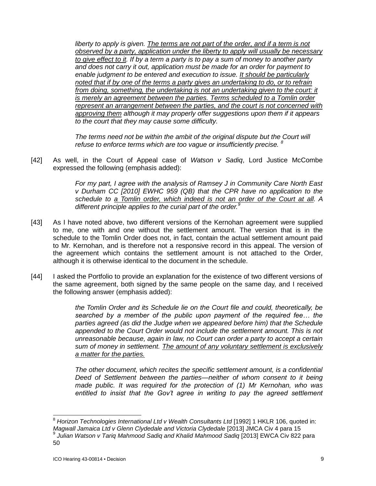*liberty to apply is given. The terms are not part of the order, and if a term is not observed by a party, application under the liberty to apply will usually be necessary to give effect to it. If by a term a party is to pay a sum of money to another party and does not carry it out, application must be made for an order for payment to enable judgment to be entered and execution to issue. It should be particularly noted that if by one of the terms a party gives an undertaking to do, or to refrain*  from doing, something, the undertaking is not an undertaking given to the court: it *is merely an agreement between the parties. Terms scheduled to a Tomlin order represent an arrangement between the parties, and the court is not concerned with approving them although it may properly offer suggestions upon them if it appears to the court that they may cause some difficulty.* 

*The terms need not be within the ambit of the original dispute but the Court will refuse to enforce terms which are too vague or insufficiently precise. <sup>8</sup>*

[42] As well, in the Court of Appeal case of *Watson v Sadiq*, Lord Justice McCombe expressed the following (emphasis added):

> *For my part, I agree with the analysis of Ramsey J in Community Care North East v Durham CC [2010] EWHC 959 (QB) that the CPR have no application to the schedule to a Tomlin order, which indeed is not an order of the Court at all. A different principle applies to the curial part of the order.<sup>9</sup>*

- [43] As I have noted above, two different versions of the Kernohan agreement were supplied to me, one with and one without the settlement amount. The version that is in the schedule to the Tomlin Order does not, in fact, contain the actual settlement amount paid to Mr. Kernohan, and is therefore not a responsive record in this appeal. The version of the agreement which contains the settlement amount is not attached to the Order, although it is otherwise identical to the document in the schedule.
- [44] I asked the Portfolio to provide an explanation for the existence of two different versions of the same agreement, both signed by the same people on the same day, and I received the following answer (emphasis added):

*the Tomlin Order and its Schedule lie on the Court file and could, theoretically, be searched by a member of the public upon payment of the required fee… the parties agreed (as did the Judge when we appeared before him) that the Schedule appended to the Court Order would not include the settlement amount. This is not unreasonable because, again in law, no Court can order a party to accept a certain sum of money in settlement. The amount of any voluntary settlement is exclusively a matter for the parties.*

*The other document, which recites the specific settlement amount, is a confidential Deed of Settlement between the parties—neither of whom consent to it being made public. It was required for the protection of (1) Mr Kernohan, who was*  entitled to insist that the Gov't agree in writing to pay the agreed settlement

<sup>8</sup> *Horizon Technologies International Ltd v Wealth Consultants Ltd* [1992] 1 HKLR 106, quoted in: *Magwall Jamaica Ltd v Glenn Clydedale and Victoria Clydedale* [2013] JMCA Civ 4 para 15 9 *Julian Watson v Tariq Mahmood Sadiq and Khalid Mahmood Sadiq* [2013] EWCA Civ 822 para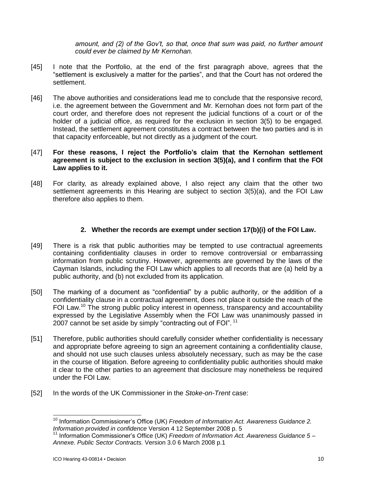*amount, and (2) of the Gov't, so that, once that sum was paid, no further amount could ever be claimed by Mr Kernohan.*

- [45] I note that the Portfolio, at the end of the first paragraph above, agrees that the "settlement is exclusively a matter for the parties", and that the Court has not ordered the settlement.
- [46] The above authorities and considerations lead me to conclude that the responsive record, i.e. the agreement between the Government and Mr. Kernohan does not form part of the court order, and therefore does not represent the judicial functions of a court or of the holder of a judicial office, as required for the exclusion in section 3(5) to be engaged. Instead, the settlement agreement constitutes a contract between the two parties and is in that capacity enforceable, but not directly as a judgment of the court.

### [47] **For these reasons, I reject the Portfolio's claim that the Kernohan settlement agreement is subject to the exclusion in section 3(5)(a), and I confirm that the FOI Law applies to it.**

[48] For clarity, as already explained above, I also reject any claim that the other two settlement agreements in this Hearing are subject to section 3(5)(a), and the FOI Law therefore also applies to them.

## **2. Whether the records are exempt under section 17(b)(i) of the FOI Law.**

- [49] There is a risk that public authorities may be tempted to use contractual agreements containing confidentiality clauses in order to remove controversial or embarrassing information from public scrutiny. However, agreements are governed by the laws of the Cayman Islands, including the FOI Law which applies to all records that are (a) held by a public authority, and (b) not excluded from its application.
- [50] The marking of a document as "confidential" by a public authority, or the addition of a confidentiality clause in a contractual agreement, does not place it outside the reach of the FOI Law.<sup>10</sup> The strong public policy interest in openness, transparency and accountability expressed by the Legislative Assembly when the FOI Law was unanimously passed in 2007 cannot be set aside by simply "contracting out of FOI". <sup>11</sup>
- [51] Therefore, public authorities should carefully consider whether confidentiality is necessary and appropriate before agreeing to sign an agreement containing a confidentiality clause, and should not use such clauses unless absolutely necessary, such as may be the case in the course of litigation. Before agreeing to confidentiality public authorities should make it clear to the other parties to an agreement that disclosure may nonetheless be required under the FOI Law.
- [52] In the words of the UK Commissioner in the *Stoke-on-Trent* case:

<sup>&</sup>lt;sup>10</sup> Information Commissioner's Office (UK) *Freedom of Information Act. Awareness Guidance 2. Information provided in confidence* Version 4 12 September 2008 p. 5

<sup>&</sup>lt;sup>11</sup> Information Commissioner's Office (UK) *Freedom of Information Act. Awareness Guidance 5 – Annexe. Public Sector Contracts.* Version 3.0 6 March 2008 p.1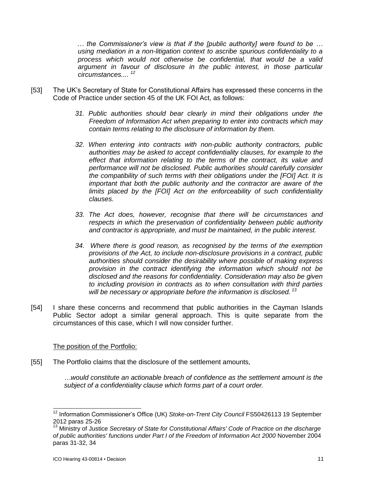*… the Commissioner's view is that if the [public authority] were found to be … using mediation in a non-litigation context to ascribe spurious confidentiality to a process which would not otherwise be confidential, that would be a valid argument in favour of disclosure in the public interest, in those particular circumstances.... <sup>12</sup>*

- [53] The UK's Secretary of State for Constitutional Affairs has expressed these concerns in the Code of Practice under section 45 of the UK FOI Act, as follows:
	- *31. Public authorities should bear clearly in mind their obligations under the Freedom of Information Act when preparing to enter into contracts which may contain terms relating to the disclosure of information by them.*
	- *32. When entering into contracts with non-public authority contractors, public authorities may be asked to accept confidentiality clauses, for example to the effect that information relating to the terms of the contract, its value and performance will not be disclosed. Public authorities should carefully consider the compatibility of such terms with their obligations under the [FOI] Act. It is important that both the public authority and the contractor are aware of the limits placed by the [FOI] Act on the enforceability of such confidentiality clauses.*
	- *33. The Act does, however, recognise that there will be circumstances and respects in which the preservation of confidentiality between public authority and contractor is appropriate, and must be maintained, in the public interest.*
	- *34. Where there is good reason, as recognised by the terms of the exemption provisions of the Act, to include non-disclosure provisions in a contract, public authorities should consider the desirability where possible of making express provision in the contract identifying the information which should not be disclosed and the reasons for confidentiality. Consideration may also be given to including provision in contracts as to when consultation with third parties will be necessary or appropriate before the information is disclosed. <sup>13</sup>*
- [54] I share these concerns and recommend that public authorities in the Cayman Islands Public Sector adopt a similar general approach. This is quite separate from the circumstances of this case, which I will now consider further.

#### The position of the Portfolio:

[55] The Portfolio claims that the disclosure of the settlement amounts,

*…would constitute an actionable breach of confidence as the settlement amount is the subject of a confidentiality clause which forms part of a court order.* 

 $\overline{\phantom{a}}$ <sup>12</sup> Information Commissioner's Office (UK) Stoke-on-Trent City Council FS50426113 19 September 2012 paras 25-26

<sup>&</sup>lt;sup>13</sup> Ministry of Justice *Secretary of State for Constitutional Affairs' Code of Practice on the discharge of public authorities' functions under Part I of the Freedom of Information Act 2000* November 2004 paras 31-32, 34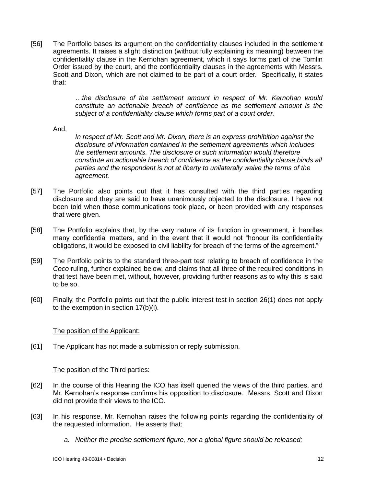[56] The Portfolio bases its argument on the confidentiality clauses included in the settlement agreements. It raises a slight distinction (without fully explaining its meaning) between the confidentiality clause in the Kernohan agreement, which it says forms part of the Tomlin Order issued by the court, and the confidentiality clauses in the agreements with Messrs. Scott and Dixon, which are not claimed to be part of a court order. Specifically, it states that:

> *…the disclosure of the settlement amount in respect of Mr. Kernohan would constitute an actionable breach of confidence as the settlement amount is the subject of a confidentiality clause which forms part of a court order.*

And,

*In respect of Mr. Scott and Mr. Dixon, there is an express prohibition against the disclosure of information contained in the settlement agreements which includes the settlement amounts. The disclosure of such information would therefore constitute an actionable breach of confidence as the confidentiality clause binds all parties and the respondent is not at liberty to unilaterally waive the terms of the agreement.*

- [57] The Portfolio also points out that it has consulted with the third parties regarding disclosure and they are said to have unanimously objected to the disclosure. I have not been told when those communications took place, or been provided with any responses that were given.
- [58] The Portfolio explains that, by the very nature of its function in government, it handles many confidential matters, and in the event that it would not "honour its confidentiality obligations, it would be exposed to civil liability for breach of the terms of the agreement."
- [59] The Portfolio points to the standard three-part test relating to breach of confidence in the *Coco* ruling, further explained below, and claims that all three of the required conditions in that test have been met, without, however, providing further reasons as to why this is said to be so.
- [60] Finally, the Portfolio points out that the public interest test in section 26(1) does not apply to the exemption in section 17(b)(i).

## The position of the Applicant:

[61] The Applicant has not made a submission or reply submission.

## The position of the Third parties:

- [62] In the course of this Hearing the ICO has itself queried the views of the third parties, and Mr. Kernohan's response confirms his opposition to disclosure. Messrs. Scott and Dixon did not provide their views to the ICO.
- [63] In his response, Mr. Kernohan raises the following points regarding the confidentiality of the requested information. He asserts that:
	- *a. Neither the precise settlement figure, nor a global figure should be released;*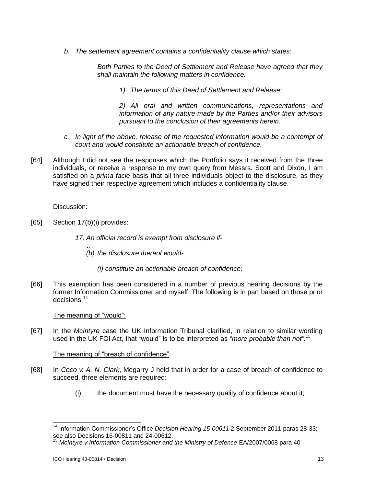*b. The settlement agreement contains a confidentiality clause which states:*

*Both Parties to the Deed of Settlement and Release have agreed that they shall maintain the following matters in confidence:*

*1) The terms of this Deed of Settlement and Release;*

*2) All oral and written communications, representations and information of any nature made by the Parties and/or their advisors pursuant to the conclusion of their agreements herein.*

- *c. In light of the above, release of the requested information would be a contempt of court and would constitute an actionable breach of confidence.*
- [64] Although I did not see the responses which the Portfolio says it received from the three individuals, or receive a response to my own query from Messrs. Scott and Dixon, I am satisfied on a *prima facie* basis that all three individuals object to the disclosure, as they have signed their respective agreement which includes a confidentiality clause.

#### Discussion:

- [65] Section 17(b)(i) provides:
	- *17. An official record is exempt from disclosure if-*
		- *… (b) the disclosure thereof would-*
			- *(i) constitute an actionable breach of confidence;*
- [66] This exemption has been considered in a number of previous hearing decisions by the former Information Commissioner and myself. The following is in part based on those prior decisions.<sup>14</sup>

#### The meaning of "would":

[67] In the *McIntyre* case the UK Information Tribunal clarified, in relation to similar wording used in the UK FOI Act, that "would" is to be interpreted as *"more probable than not". 15*

#### The meaning of "breach of confidence"

- [68] In *Coco v. A. N. Clark*, Megarry J held that in order for a case of breach of confidence to succeed, three elements are required:
	- (i) the document must have the necessary quality of confidence about it;

 $\overline{\phantom{a}}$ 

<sup>&</sup>lt;sup>14</sup> Information Commissioner's Office *Decision Hearing 15-00611* 2 September 2011 paras 28-33; see also Decisions 16-00811 and 24-00612.

<sup>15</sup> *McIntyre v Information Commissioner and the Ministry of Defence* EA/2007/0068 para 40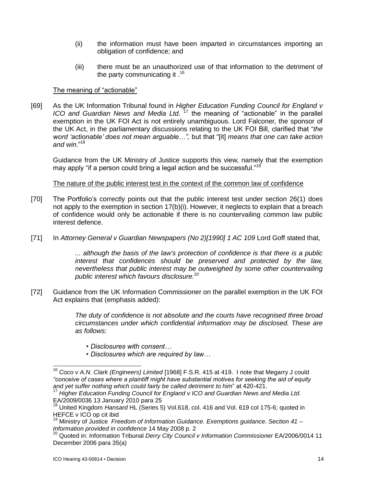- (ii) the information must have been imparted in circumstances importing an obligation of confidence; and
- (iii) there must be an unauthorized use of that information to the detriment of <sup>16</sup>. the party communicating it

## The meaning of "actionable"

[69] As the UK Information Tribunal found in *Higher Education Funding Council for England v*  ICO and Guardian News and Media Ltd.<sup>17</sup> the meaning of "actionable" in the parallel exemption in the UK FOI Act is not entirely unambiguous. Lord Falconer, the sponsor of the UK Act, in the parliamentary discussions relating to the UK FOI Bill, clarified that "*the word 'actionable' does not mean arguable…",* but that "[it] *means that one can take action and win*."<sup>18</sup>

Guidance from the UK Ministry of Justice supports this view, namely that the exemption may apply "if a person could bring a legal action and be successful."<sup>19</sup>

The nature of the public interest test in the context of the common law of confidence

- [70] The Portfolio's correctly points out that the public interest test under section 26(1) does not apply to the exemption in section 17(b)(i). However, it neglects to explain that a breach of confidence would only be actionable if there is no countervailing common law public interest defence.
- [71] In *Attorney General v Guardian Newspapers (No 2)[1990] 1 AC 109* Lord Goff stated that,

*... although the basis of the law's protection of confidence is that there is a public interest that confidences should be preserved and protected by the law, nevertheless that public interest may be outweighed by some other countervailing public interest which favours disclosure.<sup>20</sup>*

[72] Guidance from the UK Information Commissioner on the parallel exemption in the UK FOI Act explains that (emphasis added):

> *The duty of confidence is not absolute and the courts have recognised three broad circumstances under which confidential information may be disclosed. These are as follows:*

- *Disclosures with consent…*
- *Disclosures which are required by law…*

<sup>17</sup> Higher Education Funding Council for England v ICO and Guardian News and Media Ltd. EA/2009/0036 13 January 2010 para 25

 $\overline{\phantom{a}}$ 

<sup>16</sup> *Coco v A.N. Clark (Engineers) Limited* [1968] F.S.R. 415 at 419. I note that Megarry J could *"conceive of cases where a plaintiff might have substantial motives for seeking the aid of equity and yet suffer nothing which could fairly be called detriment to him*" at 420-421.

<sup>&</sup>lt;sup>18</sup> United Kingdom *Hansard* HL (Series 5) Vol.618, col. 416 and Vol. 619 col 175-6; quoted in HEFCE v ICO op cit ibid

<sup>19</sup> Ministry of Justice *Freedom of Information Guidance. Exemptions guidance. Section 41 – Information provided in confidence* 14 May 2008 p. 2

<sup>20</sup> Quoted in: Information Tribunal *Derry City Council v Information Commissioner* EA/2006/0014 11 December 2006 para 35(a)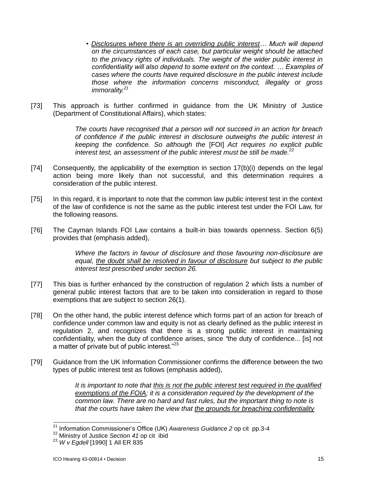*• Disclosures where there is an overriding public interest… Much will depend on the circumstances of each case, but particular weight should be attached to the privacy rights of individuals. The weight of the wider public interest in confidentiality will also depend to some extent on the context. … Examples of cases where the courts have required disclosure in the public interest include those where the information concerns misconduct, illegality or gross immorality.<sup>21</sup>*

[73] This approach is further confirmed in guidance from the UK Ministry of Justice (Department of Constitutional Affairs), which states:

> *The courts have recognised that a person will not succeed in an action for breach of confidence if the public interest in disclosure outweighs the public interest in keeping the confidence. So although the* [FOI] *Act requires no explicit public interest test, an assessment of the public interest must be still be made.<sup>22</sup>*

- [74] Consequently, the applicability of the exemption in section 17(b)(i) depends on the legal action being more likely than not successful, and this determination requires a consideration of the public interest.
- [75] In this regard, it is important to note that the common law public interest test in the context of the law of confidence is not the same as the public interest test under the FOI Law, for the following reasons.
- [76] The Cayman Islands FOI Law contains a built-in bias towards openness. Section 6(5) provides that (emphasis added),

*Where the factors in favour of disclosure and those favouring non-disclosure are equal, the doubt shall be resolved in favour of disclosure but subject to the public interest test prescribed under section 26.*

- [77] This bias is further enhanced by the construction of regulation 2 which lists a number of general public interest factors that are to be taken into consideration in regard to those exemptions that are subject to section 26(1).
- [78] On the other hand, the public interest defence which forms part of an action for breach of confidence under common law and equity is not as clearly defined as the public interest in regulation 2, and recognizes that there is a strong public interest in maintaining confidentiality, when the duty of confidence arises, since *"*the duty of confidence... [is] not a matter of private but of public interest."<sup>23</sup>
- [79] Guidance from the UK Information Commissioner confirms the difference between the two types of public interest test as follows (emphasis added),

*It is important to note that this is not the public interest test required in the qualified exemptions of the FOIA; it is a consideration required by the development of the common law. There are no hard and fast rules, but the important thing to note is that the courts have taken the view that the grounds for breaching confidentiality* 

 $\overline{\phantom{a}}$ <sup>21</sup> Information Commissioner's Office (UK) *Awareness Guidance 2* op cit pp.3-4

<sup>22</sup> Ministry of Justice *Section 41* op cit ibid

<sup>23</sup> *W v Egdell* [1990] 1 All ER 835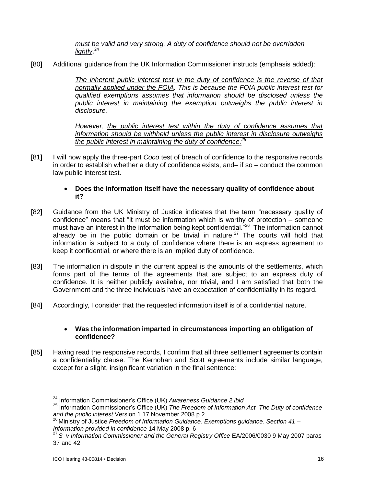*must be valid and very strong. A duty of confidence should not be overridden lightly*. 24

[80] Additional guidance from the UK Information Commissioner instructs (emphasis added):

*The inherent public interest test in the duty of confidence is the reverse of that normally applied under the FOIA. This is because the FOIA public interest test for qualified exemptions assumes that information should be disclosed unless the public interest in maintaining the exemption outweighs the public interest in disclosure.*

*However, the public interest test within the duty of confidence assumes that information should be withheld unless the public interest in disclosure outweighs the public interest in maintaining the duty of confidence. 25*

[81] I will now apply the three-part *Coco* test of breach of confidence to the responsive records in order to establish whether a duty of confidence exists, and– if so – conduct the common law public interest test.

## **Does the information itself have the necessary quality of confidence about it?**

- [82] Guidance from the UK Ministry of Justice indicates that the term "necessary quality of confidence" means that "it must be information which is worthy of protection – someone must have an interest in the information being kept confidential.<sup>"26</sup> The information cannot already be in the public domain or be trivial in nature.<sup>27</sup> The courts will hold that information is subject to a duty of confidence where there is an express agreement to keep it confidential, or where there is an implied duty of confidence.
- [83] The information in dispute in the current appeal is the amounts of the settlements, which forms part of the terms of the agreements that are subject to an express duty of confidence. It is neither publicly available, nor trivial, and I am satisfied that both the Government and the three individuals have an expectation of confidentiality in its regard.
- [84] Accordingly, I consider that the requested information itself is of a confidential nature.

### **Was the information imparted in circumstances importing an obligation of confidence?**

[85] Having read the responsive records, I confirm that all three settlement agreements contain a confidentiality clause. The Kernohan and Scott agreements include similar language, except for a slight, insignificant variation in the final sentence:

<sup>24</sup> Information Commissioner's Office (UK) *Awareness Guidance 2 ibid*

<sup>25</sup> Information Commissioner's Office (UK) *The Freedom of Information Act The Duty of confidence and the public interest* Version 1 17 November 2008 p.2

<sup>26</sup> Ministry of Justice *Freedom of Information Guidance. Exemptions guidance. Section 41 – Information provided in confidence* 14 May 2008 p. 6

<sup>27</sup> *S v Information Commissioner and the General Registry Office* EA/2006/0030 9 May 2007 paras 37 and 42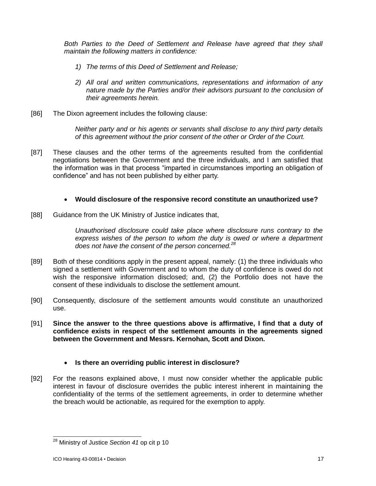*Both Parties to the Deed of Settlement and Release have agreed that they shall maintain the following matters in confidence:*

- *1) The terms of this Deed of Settlement and Release;*
- *2) All oral and written communications, representations and information of any nature made by the Parties and/or their advisors pursuant to the conclusion of their agreements herein.*
- [86] The Dixon agreement includes the following clause:

*Neither party and or his agents or servants shall disclose to any third party details of this agreement without the prior consent of the other or Order of the Court.*

[87] These clauses and the other terms of the agreements resulted from the confidential negotiations between the Government and the three individuals, and I am satisfied that the information was in that process "imparted in circumstances importing an obligation of confidence" and has not been published by either party.

# **Would disclosure of the responsive record constitute an unauthorized use?**

[88] Guidance from the UK Ministry of Justice indicates that,

*Unauthorised disclosure could take place where disclosure runs contrary to the express wishes of the person to whom the duty is owed or where a department does not have the consent of the person concerned.<sup>28</sup>*

- [89] Both of these conditions apply in the present appeal, namely: (1) the three individuals who signed a settlement with Government and to whom the duty of confidence is owed do not wish the responsive information disclosed; and, (2) the Portfolio does not have the consent of these individuals to disclose the settlement amount.
- [90] Consequently, disclosure of the settlement amounts would constitute an unauthorized use.
- [91] **Since the answer to the three questions above is affirmative, I find that a duty of confidence exists in respect of the settlement amounts in the agreements signed between the Government and Messrs. Kernohan, Scott and Dixon.**

## **Is there an overriding public interest in disclosure?**

[92] For the reasons explained above, I must now consider whether the applicable public interest in favour of disclosure overrides the public interest inherent in maintaining the confidentiality of the terms of the settlement agreements, in order to determine whether the breach would be actionable, as required for the exemption to apply.

<sup>28</sup> Ministry of Justice *Section 41* op cit p 10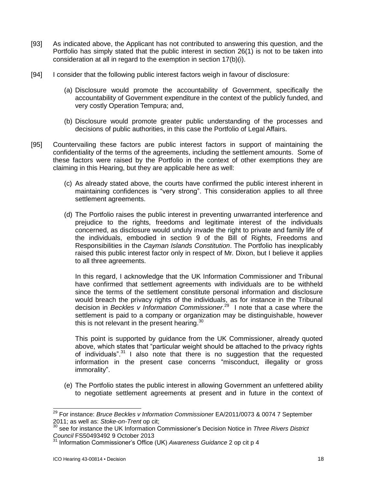- [93] As indicated above, the Applicant has not contributed to answering this question, and the Portfolio has simply stated that the public interest in section 26(1) is not to be taken into consideration at all in regard to the exemption in section 17(b)(i).
- [94] I consider that the following public interest factors weigh in favour of disclosure:
	- (a) Disclosure would promote the accountability of Government, specifically the accountability of Government expenditure in the context of the publicly funded, and very costly Operation Tempura; and,
	- (b) Disclosure would promote greater public understanding of the processes and decisions of public authorities, in this case the Portfolio of Legal Affairs.
- [95] Countervailing these factors are public interest factors in support of maintaining the confidentiality of the terms of the agreements, including the settlement amounts. Some of these factors were raised by the Portfolio in the context of other exemptions they are claiming in this Hearing, but they are applicable here as well:
	- (c) As already stated above, the courts have confirmed the public interest inherent in maintaining confidences is "very strong". This consideration applies to all three settlement agreements.
	- (d) The Portfolio raises the public interest in preventing unwarranted interference and prejudice to the rights, freedoms and legitimate interest of the individuals concerned, as disclosure would unduly invade the right to private and family life of the individuals, embodied in section 9 of the Bill of Rights, Freedoms and Responsibilities in the *Cayman Islands Constitution*. The Portfolio has inexplicably raised this public interest factor only in respect of Mr. Dixon, but I believe it applies to all three agreements.

In this regard, I acknowledge that the UK Information Commissioner and Tribunal have confirmed that settlement agreements with individuals are to be withheld since the terms of the settlement constitute personal information and disclosure would breach the privacy rights of the individuals, as for instance in the Tribunal decision in *Beckles v Information Commissioner*. <sup>29</sup> I note that a case where the settlement is paid to a company or organization may be distinguishable, however this is not relevant in the present hearing. $^{30}$ 

This point is supported by guidance from the UK Commissioner, already quoted above, which states that "particular weight should be attached to the privacy rights of individuals".<sup>31</sup> I also note that there is no suggestion that the requested information in the present case concerns "misconduct, illegality or gross immorality".

(e) The Portfolio states the public interest in allowing Government an unfettered ability to negotiate settlement agreements at present and in future in the context of

 $\overline{\phantom{a}}$ 

<sup>29</sup> For instance: *Bruce Beckles v Information Commissioner* EA/2011/0073 & 0074 7 September 2011; as well as: *Stoke-on-Trent* op cit;

<sup>30</sup> see for instance the UK Information Commissioner's Decision Notice in *Three Rivers District Council* FS50493492 9 October 2013

<sup>31</sup> Information Commissioner's Office (UK) *Awareness Guidance* 2 op cit p 4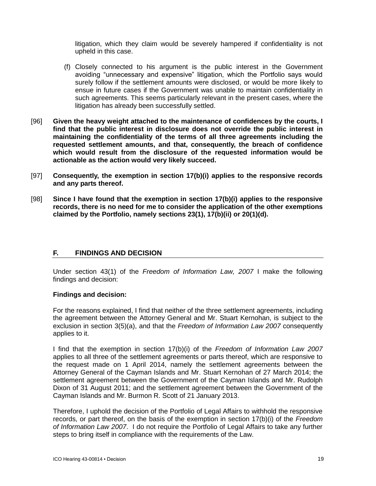litigation, which they claim would be severely hampered if confidentiality is not upheld in this case.

- (f) Closely connected to his argument is the public interest in the Government avoiding "unnecessary and expensive" litigation, which the Portfolio says would surely follow if the settlement amounts were disclosed, or would be more likely to ensue in future cases if the Government was unable to maintain confidentiality in such agreements. This seems particularly relevant in the present cases, where the litigation has already been successfully settled.
- [96] **Given the heavy weight attached to the maintenance of confidences by the courts, I find that the public interest in disclosure does not override the public interest in maintaining the confidentiality of the terms of all three agreements including the requested settlement amounts, and that, consequently, the breach of confidence which would result from the disclosure of the requested information would be actionable as the action would very likely succeed.**
- [97] **Consequently, the exemption in section 17(b)(i) applies to the responsive records and any parts thereof.**
- [98] **Since I have found that the exemption in section 17(b)(i) applies to the responsive records, there is no need for me to consider the application of the other exemptions claimed by the Portfolio, namely sections 23(1), 17(b)(ii) or 20(1)(d).**

## **F. FINDINGS AND DECISION**

Under section 43(1) of the *Freedom of Information Law, 2007* I make the following findings and decision:

#### **Findings and decision:**

For the reasons explained, I find that neither of the three settlement agreements, including the agreement between the Attorney General and Mr. Stuart Kernohan, is subject to the exclusion in section 3(5)(a), and that the *Freedom of Information Law 2007* consequently applies to it.

I find that the exemption in section 17(b)(i) of the *Freedom of Information Law 2007* applies to all three of the settlement agreements or parts thereof, which are responsive to the request made on 1 April 2014, namely the settlement agreements between the Attorney General of the Cayman Islands and Mr. Stuart Kernohan of 27 March 2014; the settlement agreement between the Government of the Cayman Islands and Mr. Rudolph Dixon of 31 August 2011; and the settlement agreement between the Government of the Cayman Islands and Mr. Burmon R. Scott of 21 January 2013.

Therefore, I uphold the decision of the Portfolio of Legal Affairs to withhold the responsive records, or part thereof, on the basis of the exemption in section 17(b)(i) of the *Freedom of Information Law 2007*. I do not require the Portfolio of Legal Affairs to take any further steps to bring itself in compliance with the requirements of the Law.